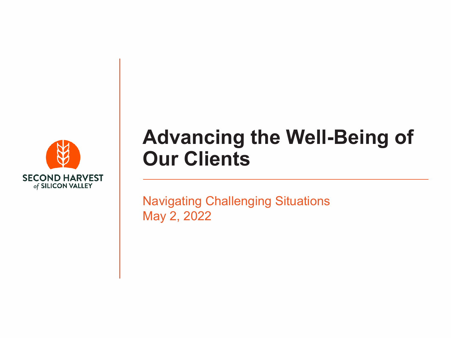

#### **Advancing the Well-Being of Our Clients**

Navigating Challenging Situations May 2, 2022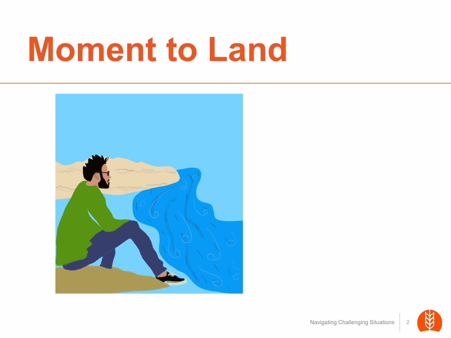#### **Moment to Land**



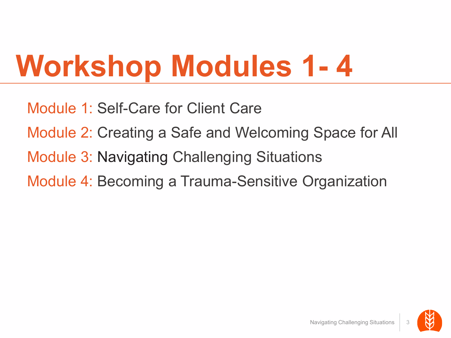#### **Workshop Modules 1- 4**

Module 1: Self-Care for Client Care Module 2: Creating a Safe and Welcoming Space for All Module 3: Navigating Challenging Situations Module 4: Becoming a Trauma-Sensitive Organization

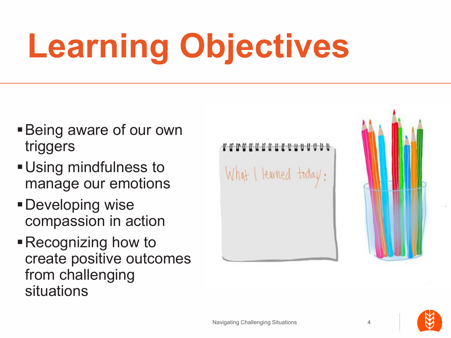# **Learning Objectives**

- Being aware of our own triggers
- Using mindfulness to manage our emotions
- Developing wise compassion in action
- Recognizing how to create positive outcomes from challenging situations

coccdentranuuuu What I learned today:

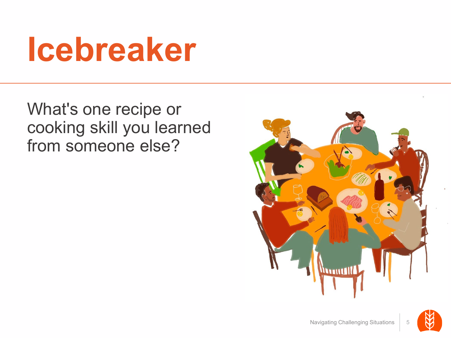#### **Icebreaker**

What's one recipe or cooking skill you learned from someone else?



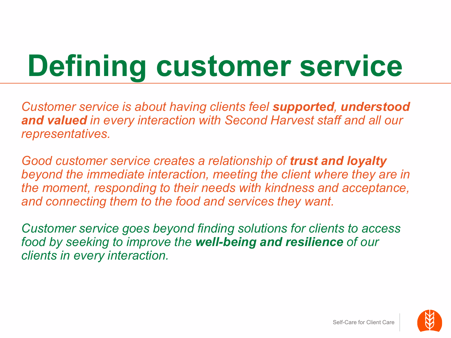#### **Defining customer service**

*Customer service is about having clients feel supported, understood and valued in every interaction with Second Harvest staff and all our representatives.*

*Good customer service creates a relationship of trust and loyalty beyond the immediate interaction, meeting the client where they are in the moment, responding to their needs with kindness and acceptance, and connecting them to the food and services they want.*

*Customer service goes beyond finding solutions for clients to access food by seeking to improve the well-being and resilience of our clients in every interaction.* 

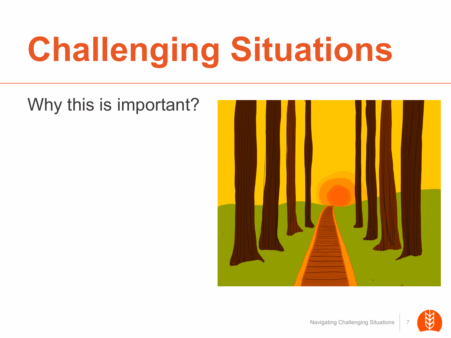# **Challenging Situations**

#### Why this is important?



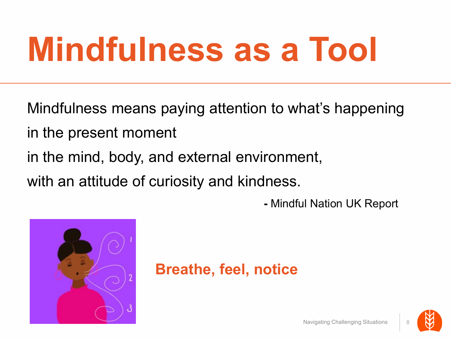### **Mindfulness as a Tool**

Mindfulness means paying attention to what's happening

- in the present moment
- in the mind, body, and external environment,

with an attitude of curiosity and kindness.

**-** Mindful Nation UK Report



#### **Breathe, feel, notice**

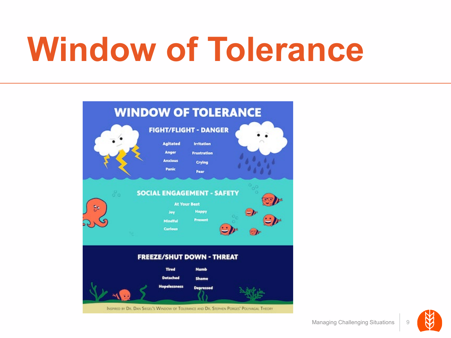### **Window of Tolerance**



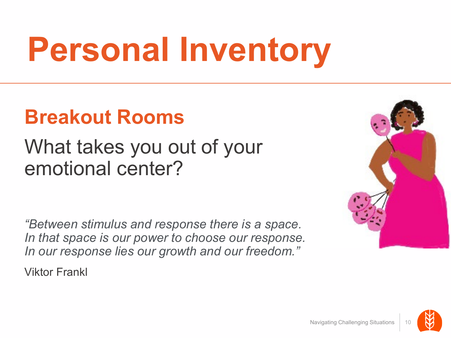## **Personal Inventory**

#### **Breakout Rooms**

#### What takes you out of your emotional center?

*"Between stimulus and response there is a space. In that space is our power to choose our response. In our response lies our growth and our freedom."*

Viktor Frankl



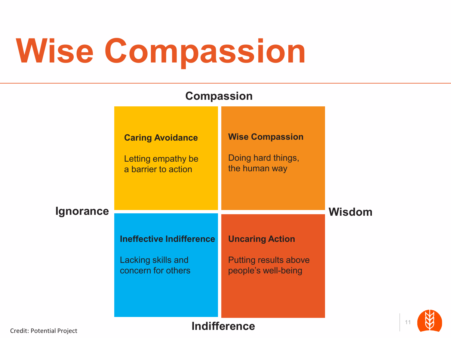## **Wise Compassion**

| <b>Compassion</b>                   |                                                                      |                                                               |               |    |
|-------------------------------------|----------------------------------------------------------------------|---------------------------------------------------------------|---------------|----|
|                                     | <b>Caring Avoidance</b><br>Letting empathy be<br>a barrier to action | <b>Wise Compassion</b><br>Doing hard things,<br>the human way |               |    |
| <b>Ignorance</b>                    |                                                                      |                                                               | <b>Wisdom</b> |    |
|                                     | <b>Ineffective Indifference</b>                                      | <b>Uncaring Action</b>                                        |               |    |
|                                     | Lacking skills and<br>concern for others                             | <b>Putting results above</b><br>people's well-being           |               |    |
| والمستحل والمتحاول والمستحل والملاز |                                                                      | <b>Indifference</b>                                           |               | 11 |

Credit: Potential Project

11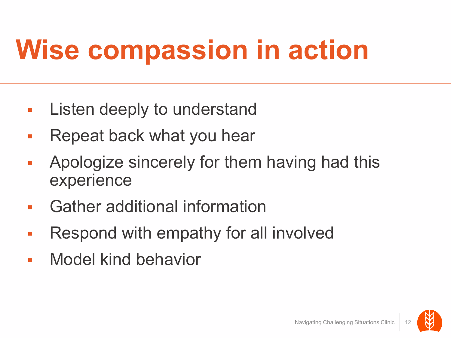#### **Wise compassion in action**

- **Listen deeply to understand**
- Repeat back what you hear
- **Apologize sincerely for them having had this** experience
- Gather additional information
- **Respond with empathy for all involved**
- Model kind behavior

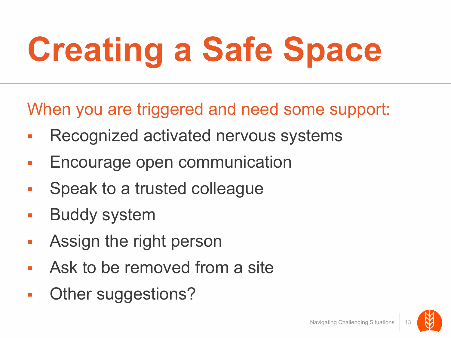# **Creating a Safe Space**

When you are triggered and need some support:

- Recognized activated nervous systems
- **Encourage open communication**
- **Speak to a trusted colleague**
- Buddy system
- **Assign the right person**
- Ask to be removed from a site
- Other suggestions?

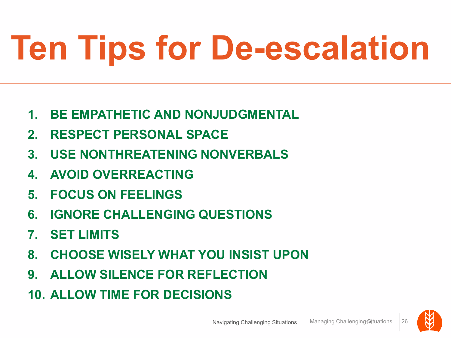# **Ten Tips for De-escalation**

- **1. BE EMPATHETIC AND NONJUDGMENTAL**
- **2. RESPECT PERSONAL SPACE**
- **3. USE NONTHREATENING NONVERBALS**
- **4. AVOID OVERREACTING**
- **5. FOCUS ON FEELINGS**
- **6. IGNORE CHALLENGING QUESTIONS**
- **7. SET LIMITS**
- **8. CHOOSE WISELY WHAT YOU INSIST UPON**
- **9. ALLOW SILENCE FOR REFLECTION**
- **10. ALLOW TIME FOR DECISIONS**

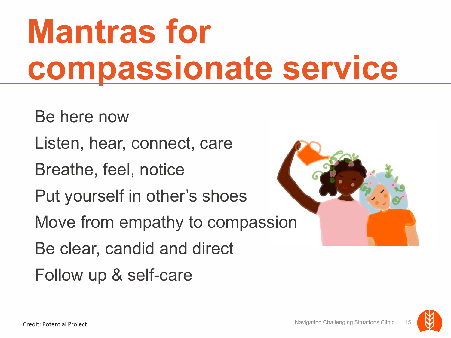### **Mantras for compassionate service**

Be here now

Listen, hear, connect, care

Breathe, feel, notice

Put yourself in other's shoes

Move from empathy to compassion

Be clear, candid and direct

Follow up & self-care

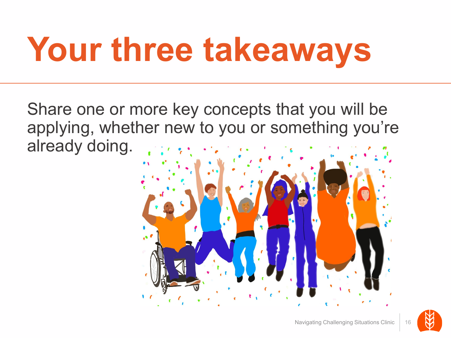# **Your three takeaways**

Share one or more key concepts that you will be applying, whether new to you or something you're already doing.